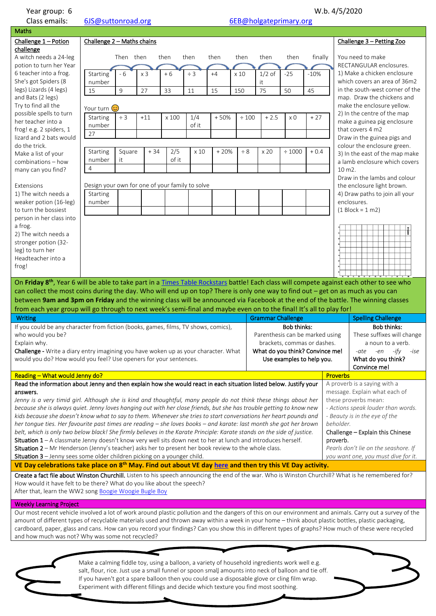Class emails: [6JS@suttonroad.org](mailto:6JS@suttonroad.org) 6EB@holgateprimary.org

| Challenge 1 - Potion                                                                                                                                                                                                                                                                                                                                                                                             |                                                 |                                 |                |                             |          |        |          |                                 |                           |         |  |                                                 |                                                                                                                                                           |  |
|------------------------------------------------------------------------------------------------------------------------------------------------------------------------------------------------------------------------------------------------------------------------------------------------------------------------------------------------------------------------------------------------------------------|-------------------------------------------------|---------------------------------|----------------|-----------------------------|----------|--------|----------|---------------------------------|---------------------------|---------|--|-------------------------------------------------|-----------------------------------------------------------------------------------------------------------------------------------------------------------|--|
|                                                                                                                                                                                                                                                                                                                                                                                                                  | Challenge $2 -$ Maths chains                    |                                 |                |                             |          |        |          |                                 |                           |         |  |                                                 | Challenge 3 - Petting Zoo                                                                                                                                 |  |
| challenge                                                                                                                                                                                                                                                                                                                                                                                                        |                                                 |                                 |                |                             |          |        |          |                                 |                           |         |  |                                                 |                                                                                                                                                           |  |
| A witch needs a 24-leg                                                                                                                                                                                                                                                                                                                                                                                           |                                                 | Then then                       |                | then                        | then     | then   | then     | then                            | then                      | finally |  |                                                 | You need to make<br>RECTANGULAR enclosures.                                                                                                               |  |
| potion to turn her Year<br>6 teacher into a frog.                                                                                                                                                                                                                                                                                                                                                                | <b>Starting</b>                                 | - 6                             | x <sub>3</sub> | $+6$                        | $\div$ 3 | $+4$   | x 10     | $1/2$ of                        | $-25$                     | $-10%$  |  |                                                 | 1) Make a chicken enclosure                                                                                                                               |  |
| She's got Spiders (8                                                                                                                                                                                                                                                                                                                                                                                             | number                                          |                                 |                |                             |          |        |          | it                              |                           |         |  |                                                 | which covers an area of 36m2                                                                                                                              |  |
| legs) Lizards (4 legs)                                                                                                                                                                                                                                                                                                                                                                                           | 15                                              | 9                               | 27             | 33                          | 11       | 15     | 150      | 75                              | 50                        | 45      |  |                                                 | in the south-west corner of the                                                                                                                           |  |
| and Bats (2 legs)                                                                                                                                                                                                                                                                                                                                                                                                |                                                 |                                 |                |                             |          |        |          |                                 |                           |         |  |                                                 | map. Draw the chickens and                                                                                                                                |  |
| Try to find all the                                                                                                                                                                                                                                                                                                                                                                                              | Your turn                                       | (၁)                             |                |                             |          |        |          |                                 |                           |         |  |                                                 | make the enclosure yellow.                                                                                                                                |  |
| possible spells to turn                                                                                                                                                                                                                                                                                                                                                                                          | Starting                                        | $\div$ 3                        | $+11$          | x 100                       | 1/4      | $+50%$ | ± 100    | $+2.5$                          | x <sub>0</sub>            | $+27$   |  |                                                 | 2) In the centre of the map                                                                                                                               |  |
| her teacher into a                                                                                                                                                                                                                                                                                                                                                                                               | number                                          |                                 |                |                             | of it    |        |          |                                 |                           |         |  |                                                 | make a guinea pig enclosure                                                                                                                               |  |
| frog! e.g. 2 spiders, 1<br>lizard and 2 bats would                                                                                                                                                                                                                                                                                                                                                               | 27                                              |                                 |                |                             |          |        |          |                                 |                           |         |  | that covers 4 m2<br>Draw in the guinea pigs and |                                                                                                                                                           |  |
| do the trick.                                                                                                                                                                                                                                                                                                                                                                                                    |                                                 |                                 |                |                             |          |        |          |                                 |                           |         |  |                                                 | colour the enclosure green.                                                                                                                               |  |
| Make a list of your                                                                                                                                                                                                                                                                                                                                                                                              | Starting                                        | Square                          | $+34$          | 2/5                         | x 10     | $+20%$ | $\div$ 8 | x 20                            | $\div$ 1000               | $+0.4$  |  |                                                 | 3) In the east of the map make                                                                                                                            |  |
| combinations - how                                                                                                                                                                                                                                                                                                                                                                                               | number                                          | it                              |                | of it                       |          |        |          |                                 |                           |         |  |                                                 | a lamb enclosure which covers                                                                                                                             |  |
| many can you find?                                                                                                                                                                                                                                                                                                                                                                                               | $\overline{4}$                                  |                                 |                |                             |          |        |          |                                 |                           |         |  | 10 m2.                                          |                                                                                                                                                           |  |
|                                                                                                                                                                                                                                                                                                                                                                                                                  | Design your own for one of your family to solve |                                 |                |                             |          |        |          |                                 |                           |         |  |                                                 | Draw in the lambs and colour                                                                                                                              |  |
| Extensions                                                                                                                                                                                                                                                                                                                                                                                                       |                                                 |                                 |                |                             |          |        |          |                                 |                           |         |  |                                                 | the enclosure light brown.                                                                                                                                |  |
| 1) The witch needs a                                                                                                                                                                                                                                                                                                                                                                                             | Starting                                        |                                 |                |                             |          |        |          |                                 |                           |         |  | 4) Draw paths to join all your<br>enclosures.   |                                                                                                                                                           |  |
| weaker potion (16-leg)<br>to turn the bossiest                                                                                                                                                                                                                                                                                                                                                                   | number                                          |                                 |                |                             |          |        |          |                                 |                           |         |  |                                                 | $(1 \text{ Block} = 1 \text{ m2})$                                                                                                                        |  |
| person in her class into                                                                                                                                                                                                                                                                                                                                                                                         |                                                 |                                 |                |                             |          |        |          |                                 |                           |         |  |                                                 |                                                                                                                                                           |  |
| a frog.                                                                                                                                                                                                                                                                                                                                                                                                          |                                                 |                                 |                |                             |          |        |          |                                 |                           |         |  |                                                 |                                                                                                                                                           |  |
| 2) The witch needs a                                                                                                                                                                                                                                                                                                                                                                                             |                                                 |                                 |                |                             |          |        |          |                                 |                           |         |  |                                                 |                                                                                                                                                           |  |
| stronger potion (32-                                                                                                                                                                                                                                                                                                                                                                                             |                                                 |                                 |                |                             |          |        |          |                                 |                           |         |  |                                                 |                                                                                                                                                           |  |
| leg) to turn her                                                                                                                                                                                                                                                                                                                                                                                                 |                                                 |                                 |                |                             |          |        |          |                                 |                           |         |  |                                                 |                                                                                                                                                           |  |
| Headteacher into a                                                                                                                                                                                                                                                                                                                                                                                               |                                                 |                                 |                |                             |          |        |          |                                 |                           |         |  |                                                 |                                                                                                                                                           |  |
| frog!                                                                                                                                                                                                                                                                                                                                                                                                            |                                                 |                                 |                |                             |          |        |          |                                 |                           |         |  |                                                 |                                                                                                                                                           |  |
| On Friday 8 <sup>th</sup> , Year 6 will be able to take part in a Times Table Rockstars battle! Each class will compete against each other to see who                                                                                                                                                                                                                                                            |                                                 |                                 |                |                             |          |        |          |                                 |                           |         |  |                                                 |                                                                                                                                                           |  |
| can collect the most coins during the day. Who will end up on top? There is only one way to find out – get on as much as you can                                                                                                                                                                                                                                                                                 |                                                 |                                 |                |                             |          |        |          |                                 |                           |         |  |                                                 |                                                                                                                                                           |  |
| between 9am and 3pm on Friday and the winning class will be announced via Facebook at the end of the battle. The winning classes                                                                                                                                                                                                                                                                                 |                                                 |                                 |                |                             |          |        |          |                                 |                           |         |  |                                                 |                                                                                                                                                           |  |
| from each year group will go through to next week's semi-final and maybe even on to the final! It's all to play for!                                                                                                                                                                                                                                                                                             |                                                 |                                 |                |                             |          |        |          |                                 |                           |         |  |                                                 |                                                                                                                                                           |  |
| <b>Writing</b>                                                                                                                                                                                                                                                                                                                                                                                                   |                                                 |                                 |                |                             |          |        |          | <b>Grammar Challenge</b>        |                           |         |  |                                                 | <b>Spelling Challenge</b>                                                                                                                                 |  |
| If you could be any character from fiction (books, games, films, TV shows, comics),                                                                                                                                                                                                                                                                                                                              |                                                 |                                 |                |                             |          |        |          |                                 | <b>Bob thinks:</b>        |         |  |                                                 | <b>Bob thinks:</b>                                                                                                                                        |  |
|                                                                                                                                                                                                                                                                                                                                                                                                                  |                                                 | Parenthesis can be marked using |                |                             |          |        |          |                                 |                           |         |  |                                                 |                                                                                                                                                           |  |
| who would you be?                                                                                                                                                                                                                                                                                                                                                                                                |                                                 |                                 |                | brackets, commas or dashes. |          |        |          |                                 |                           |         |  |                                                 |                                                                                                                                                           |  |
| Explain why.                                                                                                                                                                                                                                                                                                                                                                                                     |                                                 |                                 |                |                             |          |        |          |                                 |                           |         |  |                                                 | These suffixes will change<br>a noun to a verb.                                                                                                           |  |
| Challenge - Write a diary entry imagining you have woken up as your character. What                                                                                                                                                                                                                                                                                                                              |                                                 |                                 |                |                             |          |        |          | What do you think? Convince me! |                           |         |  |                                                 | -ate -en -ify<br>-ise                                                                                                                                     |  |
| would you do? How would you feel? Use openers for your sentences.                                                                                                                                                                                                                                                                                                                                                |                                                 |                                 |                |                             |          |        |          |                                 | Use examples to help you. |         |  |                                                 | What do you think?                                                                                                                                        |  |
|                                                                                                                                                                                                                                                                                                                                                                                                                  |                                                 |                                 |                |                             |          |        |          |                                 |                           |         |  |                                                 | Convince me!                                                                                                                                              |  |
| Reading - What would Jenny do?                                                                                                                                                                                                                                                                                                                                                                                   |                                                 |                                 |                |                             |          |        |          |                                 |                           |         |  | <b>Proverbs</b>                                 |                                                                                                                                                           |  |
| Read the information about Jenny and then explain how she would react in each situation listed below. Justify your                                                                                                                                                                                                                                                                                               |                                                 |                                 |                |                             |          |        |          |                                 |                           |         |  |                                                 | A proverb is a saying with a                                                                                                                              |  |
| answers.                                                                                                                                                                                                                                                                                                                                                                                                         |                                                 |                                 |                |                             |          |        |          |                                 |                           |         |  |                                                 | message. Explain what each of                                                                                                                             |  |
| Jenny is a very timid girl. Although she is kind and thoughtful, many people do not think these things about her                                                                                                                                                                                                                                                                                                 |                                                 |                                 |                |                             |          |        |          |                                 |                           |         |  |                                                 | these proverbs mean:<br>- Actions speak louder than words.                                                                                                |  |
| because she is always quiet. Jenny loves hanging out with her close friends, but she has trouble getting to know new<br>kids because she doesn't know what to say to them. Whenever she tries to start conversations her heart pounds and                                                                                                                                                                        |                                                 |                                 |                |                             |          |        |          |                                 |                           |         |  |                                                 | - Beauty is in the eye of the                                                                                                                             |  |
| her tongue ties. Her favourite past times are reading – she loves books – and karate: last month she got her brown                                                                                                                                                                                                                                                                                               |                                                 |                                 |                |                             |          |        |          |                                 |                           |         |  | beholder.                                       |                                                                                                                                                           |  |
| belt, which is only two below black! She firmly believes in the Karate Principle: Karate stands on the side of justice.                                                                                                                                                                                                                                                                                          |                                                 |                                 |                |                             |          |        |          |                                 |                           |         |  |                                                 | Challenge - Explain this Chinese                                                                                                                          |  |
| Situation 1 - A classmate Jenny doesn't know very well sits down next to her at lunch and introduces herself.                                                                                                                                                                                                                                                                                                    |                                                 |                                 |                |                             |          |        |          |                                 |                           |         |  | proverb.                                        |                                                                                                                                                           |  |
| Situation 2 - Mr Henderson (Jenny's teacher) asks her to present her book review to the whole class.                                                                                                                                                                                                                                                                                                             |                                                 |                                 |                |                             |          |        |          |                                 |                           |         |  |                                                 | Pearls don't lie on the seashore. If                                                                                                                      |  |
| Situation 3 - Jenny sees some older children picking on a younger child.                                                                                                                                                                                                                                                                                                                                         |                                                 |                                 |                |                             |          |        |          |                                 |                           |         |  |                                                 | you want one, you must dive for it.                                                                                                                       |  |
|                                                                                                                                                                                                                                                                                                                                                                                                                  |                                                 |                                 |                |                             |          |        |          |                                 |                           |         |  |                                                 |                                                                                                                                                           |  |
|                                                                                                                                                                                                                                                                                                                                                                                                                  |                                                 |                                 |                |                             |          |        |          |                                 |                           |         |  |                                                 |                                                                                                                                                           |  |
|                                                                                                                                                                                                                                                                                                                                                                                                                  |                                                 |                                 |                |                             |          |        |          |                                 |                           |         |  |                                                 |                                                                                                                                                           |  |
| VE Day celebrations take place on 8 <sup>th</sup> May. Find out about VE day here and then try this VE Day activity.<br>Create a fact file about Winston Churchill. Listen to his speech announcing the end of the war. Who is Winston Churchill? What is he remembered for?<br>How would it have felt to be there? What do you like about the speech?<br>After that, learn the WW2 song Boogie Woogie Bugle Boy |                                                 |                                 |                |                             |          |        |          |                                 |                           |         |  |                                                 |                                                                                                                                                           |  |
| <b>Weekly Learning Project</b>                                                                                                                                                                                                                                                                                                                                                                                   |                                                 |                                 |                |                             |          |        |          |                                 |                           |         |  |                                                 |                                                                                                                                                           |  |
|                                                                                                                                                                                                                                                                                                                                                                                                                  |                                                 |                                 |                |                             |          |        |          |                                 |                           |         |  |                                                 | Our most recent vehicle involved a lot of work around plastic pollution and the dangers of this on our environment and animals. Carry out a survey of the |  |
| amount of different types of recyclable materials used and thrown away within a week in your home - think about plastic bottles, plastic packaging,                                                                                                                                                                                                                                                              |                                                 |                                 |                |                             |          |        |          |                                 |                           |         |  |                                                 |                                                                                                                                                           |  |
| cardboard, paper, glass and cans. How can you record your findings? Can you show this in different types of graphs? How much of these were recycled<br>and how much was not? Why was some not recycled?                                                                                                                                                                                                          |                                                 |                                 |                |                             |          |        |          |                                 |                           |         |  |                                                 |                                                                                                                                                           |  |

. salt, flour, rice. Just use a small funnel or spoon small amounts into neck of balloon and tie off. Make a calming fiddle toy, using a balloon, a variety of household ingredients work well e.g. If you haven't got a spare balloon then you could use a disposable glove or cling film wrap. Experiment with different fillings and decide which texture you find most soothing.